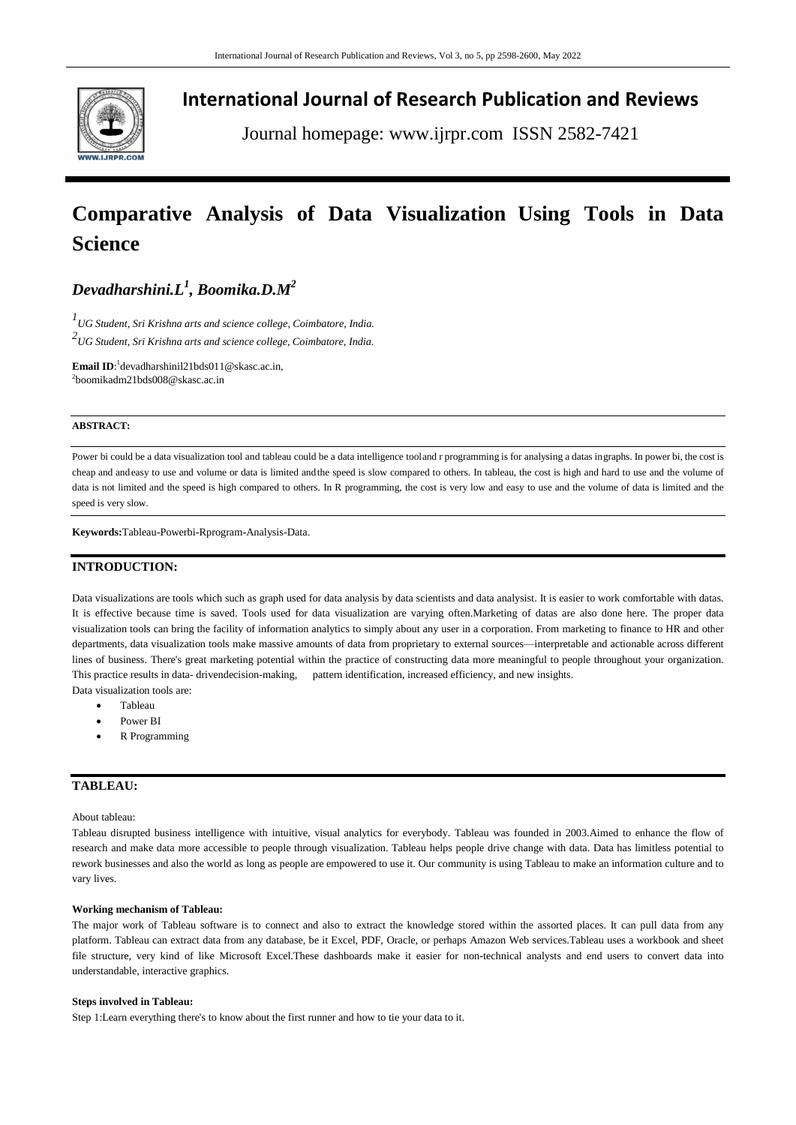

## **International Journal of Research Publication and Reviews**

Journal homepage: www.ijrpr.com ISSN 2582-7421

# **Comparative Analysis of Data Visualization Using Tools in Data Science**

## *Devadharshini.L<sup>1</sup> , Boomika.D.M<sup>2</sup>*

*1 UG Student, Sri Krishna arts and science college, Coimbatore, India. 2 UG Student, Sri Krishna arts and science college, Coimbatore, India.*

**Email ID**: 1 [devadharshinil21bds011@skasc.ac.in,](mailto:1devadharshinil21bds011@skasc.ac.in) 2 [boomikadm21bds008@skasc.ac.in](mailto:2boomikadm21bds008@skasc.ac.in)

#### **ABSTRACT:**

Power bi could be a data visualization tool and tableau could be a data intelligence tooland r programming is for analysing a datas ingraphs. In power bi, the cost is cheap and andeasy to use and volume or data is limited andthe speed is slow compared to others. In tableau, the cost is high and hard to use and the volume of data is not limited and the speed is high compared to others. In R programming, the cost is very low and easy to use and the volume of data is limited and the speed is very slow.

**Keywords:**Tableau-Powerbi-Rprogram-Analysis-Data.

## **INTRODUCTION:**

Data visualizations are tools which such as graph used for data analysis by data scientists and data analysist. It is easier to work comfortable with datas. It is effective because time is saved. Tools used for data visualization are varying often.Marketing of datas are also done here. The proper data visualization tools can bring the facility of information analytics to simply about any user in a corporation. From marketing to finance to HR and other departments, data visualization tools make massive amounts of data from proprietary to external sources—interpretable and actionable across different lines of business. There's great marketing potential within the practice of constructing data more meaningful to people throughout your organization. This practice results in data- drivendecision-making, pattern identification, increased efficiency, and new insights.

Data visualization tools are:

- Tableau
- Power BI
- R Programming

## **TABLEAU:**

About tableau:

Tableau disrupted business intelligence with intuitive, visual analytics for everybody. Tableau was founded in 2003.Aimed to enhance the flow of research and make data more accessible to people through visualization. Tableau helps people drive change with data. Data has limitless potential to rework businesses and also the world as long as people are empowered to use it. Our community is using Tableau to make an information culture and to vary lives.

#### **Working mechanism of Tableau:**

The major work of Tableau software is to connect and also to extract the knowledge stored within the assorted places. It can pull data from any platform. Tableau can extract data from any database, be it Excel, PDF, Oracle, or perhaps Amazon Web services.Tableau uses a workbook and sheet file structure, very kind of like Microsoft Excel.These dashboards make it easier for non-technical analysts and end users to convert data into understandable, interactive graphics.

#### **Steps involved in Tableau:**

Step 1:Learn everything there's to know about the first runner and how to tie your data to it.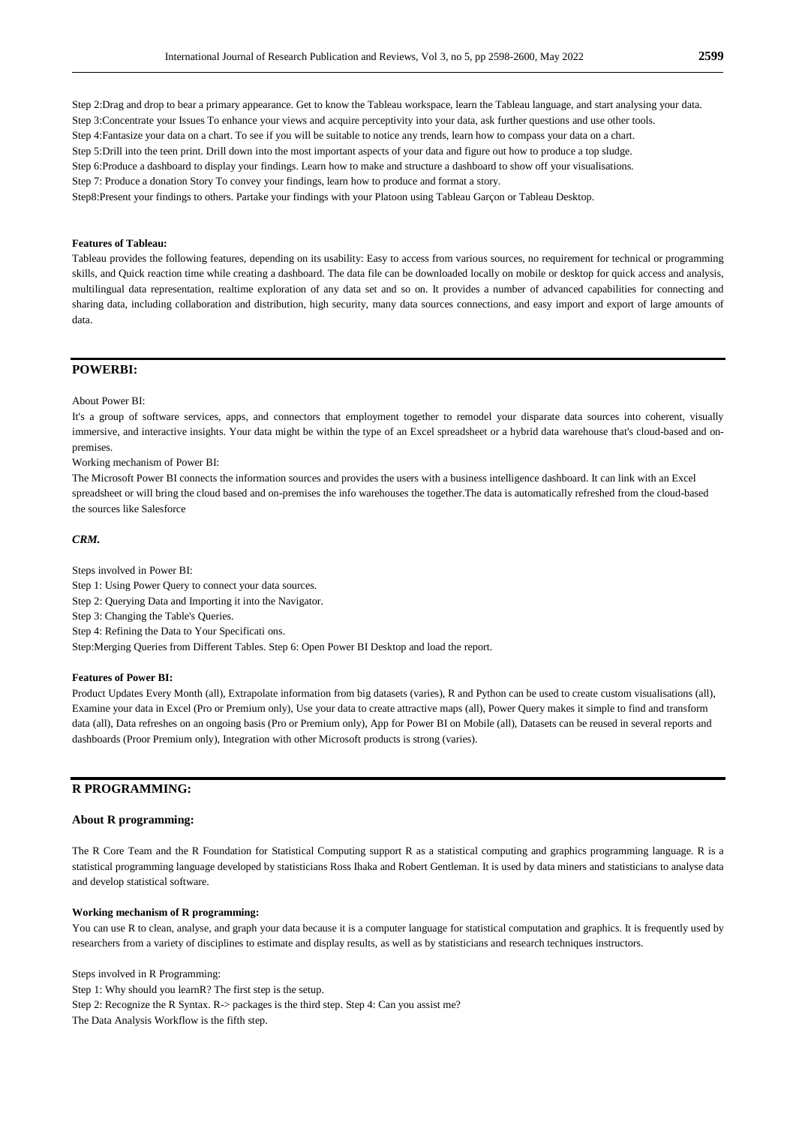Step 2:Drag and drop to bear a primary appearance. Get to know the Tableau workspace, learn the Tableau language, and start analysing your data. Step 3:Concentrate your Issues To enhance your views and acquire perceptivity into your data, ask further questions and use other tools. Step 4:Fantasize your data on a chart. To see if you will be suitable to notice any trends, learn how to compass your data on a chart. Step 5:Drill into the teen print. Drill down into the most important aspects of your data and figure out how to produce a top sludge. Step 6:Produce a dashboard to display your findings. Learn how to make and structure a dashboard to show off your visualisations.

Step 7: Produce a donation Story To convey your findings, learn how to produce and format a story.

Step8:Present your findings to others. Partake your findings with your Platoon using Tableau Garçon or Tableau Desktop.

#### **Features of Tableau:**

Tableau provides the following features, depending on its usability: Easy to access from various sources, no requirement for technical or programming skills, and Quick reaction time while creating a dashboard. The data file can be downloaded locally on mobile or desktop for quick access and analysis, multilingual data representation, realtime exploration of any data set and so on. It provides a number of advanced capabilities for connecting and sharing data, including collaboration and distribution, high security, many data sources connections, and easy import and export of large amounts of data.

## **POWERBI:**

#### About Power BI:

It's a group of software services, apps, and connectors that employment together to remodel your disparate data sources into coherent, visually immersive, and interactive insights. Your data might be within the type of an Excel spreadsheet or a hybrid data warehouse that's cloud-based and onpremises.

Working mechanism of Power BI:

The Microsoft Power BI connects the information sources and provides the users with a business intelligence dashboard. It can link with an Excel spreadsheet or will bring the cloud based and on-premises the info warehouses the together.The data is automatically refreshed from the cloud-based the sources like Salesforce

#### *CRM.*

Steps involved in Power BI: Step 1: Using Power Query to connect your data sources. Step 2: Querying Data and Importing it into the Navigator. Step 3: Changing the Table's Queries. Step 4: Refining the Data to Your Specificati ons. Step:Merging Queries from Different Tables. Step 6: Open Power BI Desktop and load the report.

## **Features of Power BI:**

Product Updates Every Month (all), Extrapolate information from big datasets (varies), R and Python can be used to create custom visualisations (all), Examine your data in Excel (Pro or Premium only), Use your data to create attractive maps (all), Power Query makes it simple to find and transform data (all), Data refreshes on an ongoing basis (Pro or Premium only), App for Power BI on Mobile (all), Datasets can be reused in several reports and dashboards (Proor Premium only), Integration with other Microsoft products is strong (varies).

## **R PROGRAMMING:**

#### **About R programming:**

The R Core Team and the R Foundation for Statistical Computing support R as a statistical computing and graphics programming language. R is a statistical programming language developed by statisticians Ross Ihaka and Robert Gentleman. It is used by data miners and statisticians to analyse data and develop statistical software.

#### **Working mechanism of R programming:**

You can use R to clean, analyse, and graph your data because it is a computer language for statistical computation and graphics. It is frequently used by researchers from a variety of disciplines to estimate and display results, as well as by statisticians and research techniques instructors.

Steps involved in R Programming: Step 1: Why should you learnR? The first step is the setup. Step 2: Recognize the R Syntax. R-> packages is the third step. Step 4: Can you assist me? The Data Analysis Workflow is the fifth step.